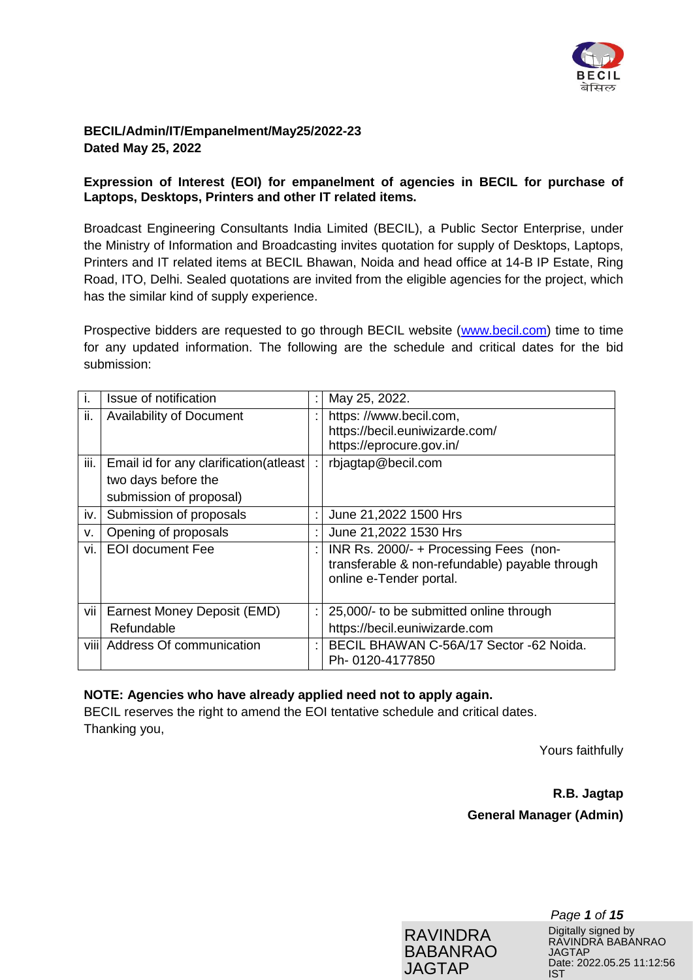

## **BECIL/Admin/IT/Empanelment/May25/2022-23 Dated May 25, 2022**

## **Expression of Interest (EOI) for empanelment of agencies in BECIL for purchase of Laptops, Desktops, Printers and other IT related items.**

Broadcast Engineering Consultants India Limited (BECIL), a Public Sector Enterprise, under the Ministry of Information and Broadcasting invites quotation for supply of Desktops, Laptops, Printers and IT related items at BECIL Bhawan, Noida and head office at 14-B IP Estate, Ring Road, ITO, Delhi. Sealed quotations are invited from the eligible agencies for the project, which has the similar kind of supply experience.

Prospective bidders are requested to go through BECIL website [\(www.becil.com\)](http://www.becil.com/) time to time for any updated information. The following are the schedule and critical dates for the bid submission:

| j.   | Issue of notification                  | May 25, 2022.                                                                                                       |
|------|----------------------------------------|---------------------------------------------------------------------------------------------------------------------|
| ii.  | <b>Availability of Document</b>        | https://www.becil.com,                                                                                              |
|      |                                        | https://becil.euniwizarde.com/                                                                                      |
|      |                                        | https://eprocure.gov.in/                                                                                            |
| iii. | Email id for any clarification(atleast | rbjagtap@becil.com                                                                                                  |
|      | two days before the                    |                                                                                                                     |
|      | submission of proposal)                |                                                                                                                     |
| iv.  | Submission of proposals                | June 21,2022 1500 Hrs                                                                                               |
| v.   | Opening of proposals                   | June 21,2022 1530 Hrs                                                                                               |
| vi.  | <b>EOI</b> document Fee                | INR Rs. 2000/- + Processing Fees (non-<br>transferable & non-refundable) payable through<br>online e-Tender portal. |
| vii  | Earnest Money Deposit (EMD)            | 25,000/- to be submitted online through                                                                             |
|      | Refundable                             | https://becil.euniwizarde.com                                                                                       |
|      | viii Address Of communication          | BECIL BHAWAN C-56A/17 Sector -62 Noida.<br>Ph-0120-4177850                                                          |
|      |                                        |                                                                                                                     |

## **NOTE: Agencies who have already applied need not to apply again.**

BECIL reserves the right to amend the EOI tentative schedule and critical dates. Thanking you,

Yours faithfully

**R.B. Jagtap General Manager (Admin)**



*Page 1 of 15* Digitally signed by RAVINDRA BABANRAO JAGTAP Date: 2022.05.25 11:12:56 IST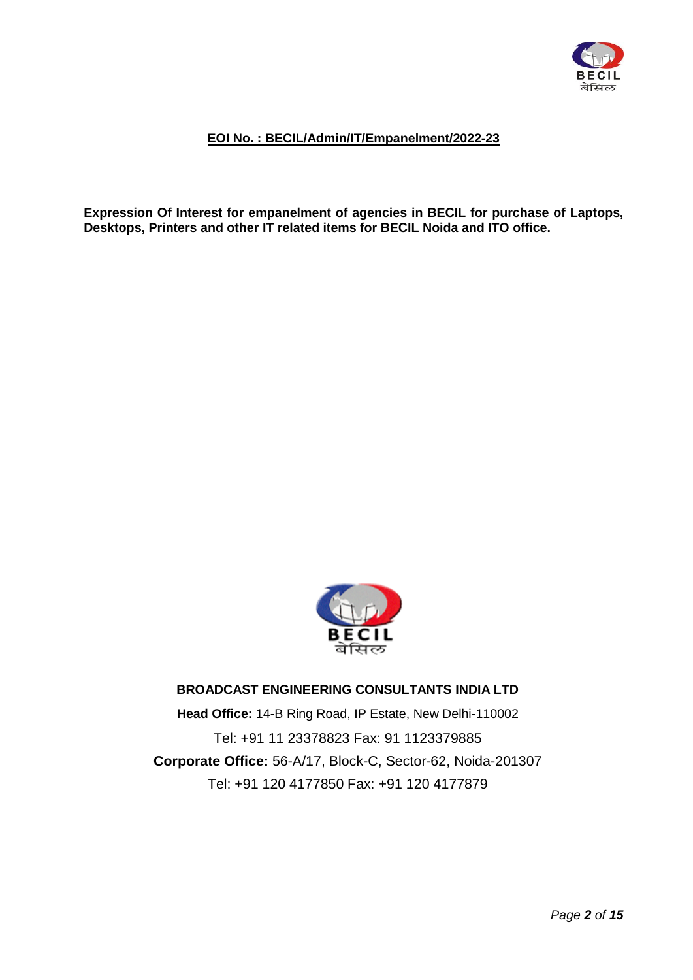

## **EOI No. : BECIL/Admin/IT/Empanelment/2022-23**

**Expression Of Interest for empanelment of agencies in BECIL for purchase of Laptops, Desktops, Printers and other IT related items for BECIL Noida and ITO office.**



# **BROADCAST ENGINEERING CONSULTANTS INDIA LTD**

**Head Office:** 14-B Ring Road, IP Estate, New Delhi-110002 Tel: +91 11 23378823 Fax: 91 1123379885 **Corporate Office:** 56-A/17, Block-C, Sector-62, Noida-201307 Tel: +91 120 4177850 Fax: +91 120 4177879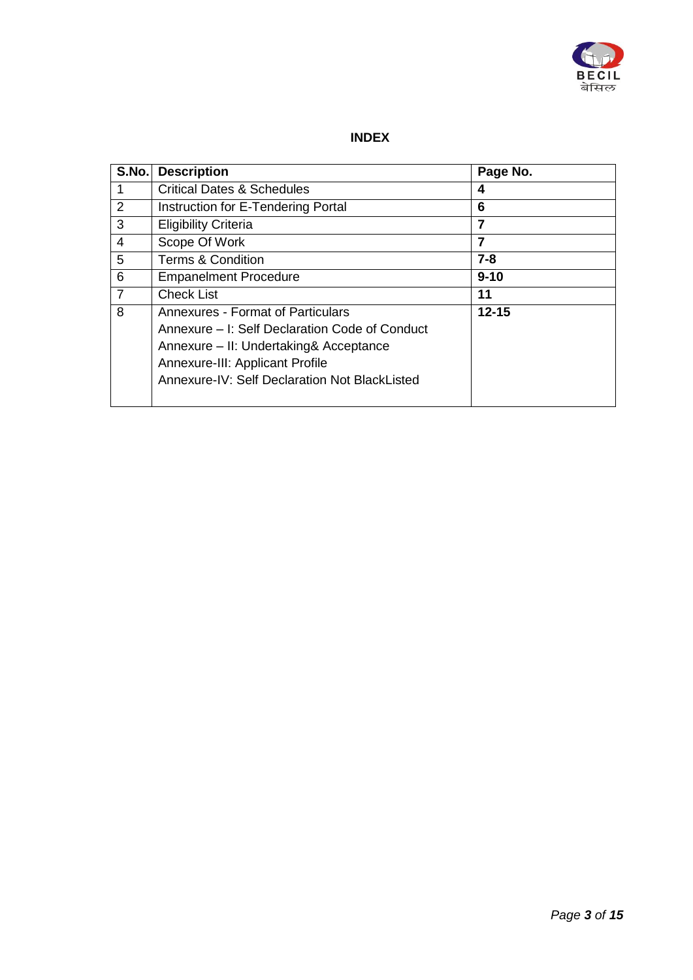

# **INDEX**

| S.No.          | <b>Description</b>                                                                                                                                                                                                | Page No.  |
|----------------|-------------------------------------------------------------------------------------------------------------------------------------------------------------------------------------------------------------------|-----------|
|                | <b>Critical Dates &amp; Schedules</b>                                                                                                                                                                             | 4         |
| $\overline{2}$ | Instruction for E-Tendering Portal                                                                                                                                                                                | 6         |
| 3              | <b>Eligibility Criteria</b>                                                                                                                                                                                       | 7         |
| 4              | Scope Of Work                                                                                                                                                                                                     | 7         |
| 5              | <b>Terms &amp; Condition</b>                                                                                                                                                                                      | $7 - 8$   |
| 6              | <b>Empanelment Procedure</b>                                                                                                                                                                                      | $9 - 10$  |
| $\overline{7}$ | <b>Check List</b>                                                                                                                                                                                                 | 11        |
| 8              | Annexures - Format of Particulars<br>Annexure – I: Self Declaration Code of Conduct<br>Annexure - II: Undertaking& Acceptance<br>Annexure-III: Applicant Profile<br>Annexure-IV: Self Declaration Not BlackListed | $12 - 15$ |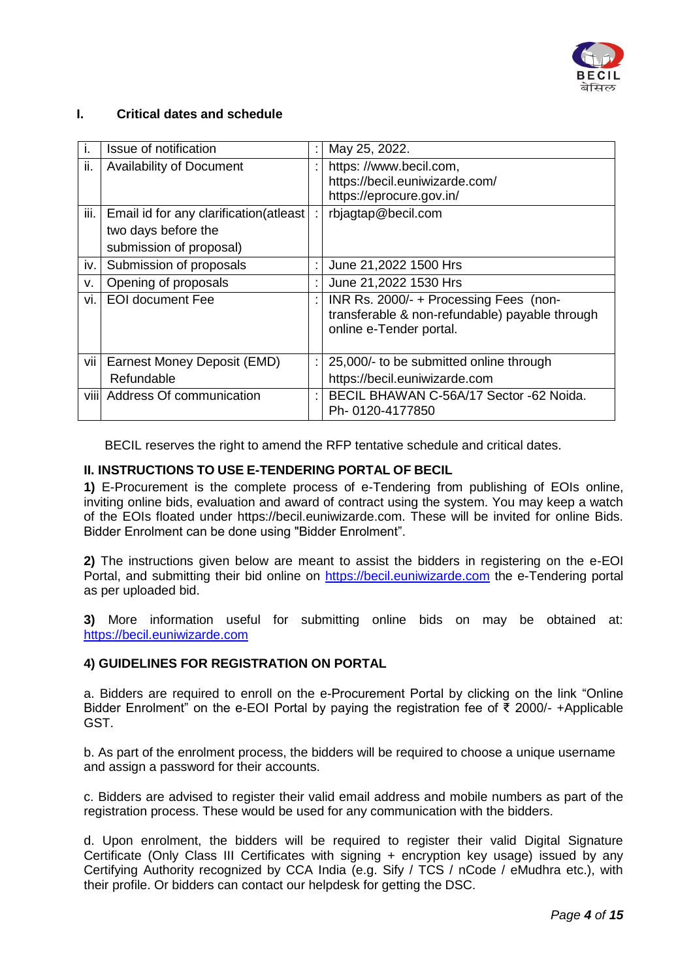

#### **I. Critical dates and schedule**

|      | Issue of notification                  |   | May 25, 2022.                                                                                                       |
|------|----------------------------------------|---|---------------------------------------------------------------------------------------------------------------------|
| ii.  | <b>Availability of Document</b>        |   | https://www.becil.com,<br>https://becil.euniwizarde.com/                                                            |
|      |                                        |   | https://eprocure.gov.in/                                                                                            |
| iii. | Email id for any clarification(atleast |   | rbjagtap@becil.com                                                                                                  |
|      | two days before the                    |   |                                                                                                                     |
|      | submission of proposal)                |   |                                                                                                                     |
| iv.  | Submission of proposals                |   | June 21,2022 1500 Hrs                                                                                               |
| v.   | Opening of proposals                   |   | June 21,2022 1530 Hrs                                                                                               |
| vi.  | <b>EOI document Fee</b>                | ٠ | INR Rs. 2000/- + Processing Fees (non-<br>transferable & non-refundable) payable through<br>online e-Tender portal. |
| vii  | Earnest Money Deposit (EMD)            |   | 25,000/- to be submitted online through                                                                             |
|      | Refundable                             |   | https://becil.euniwizarde.com                                                                                       |
|      | viii Address Of communication          |   | BECIL BHAWAN C-56A/17 Sector -62 Noida.<br>Ph-0120-4177850                                                          |

BECIL reserves the right to amend the RFP tentative schedule and critical dates.

## **II. INSTRUCTIONS TO USE E-TENDERING PORTAL OF BECIL**

**1)** E-Procurement is the complete process of e-Tendering from publishing of EOIs online, inviting online bids, evaluation and award of contract using the system. You may keep a watch of the EOIs floated under https://becil.euniwizarde.com. These will be invited for online Bids. Bidder Enrolment can be done using "Bidder Enrolment".

**2)** The instructions given below are meant to assist the bidders in registering on the e-EOI Portal, and submitting their bid online on [https://becil.euniwizarde.com](https://becil.euniwizarde.com/) the e-Tendering portal as per uploaded bid.

**3)** More information useful for submitting online bids on may be obtained at: [https://becil.euniwizarde.com](https://becil.euniwizarde.com/)

#### **4) GUIDELINES FOR REGISTRATION ON PORTAL**

a. Bidders are required to enroll on the e-Procurement Portal by clicking on the link "Online Bidder Enrolment" on the e-EOI Portal by paying the registration fee of ₹ 2000/- +Applicable GST.

b. As part of the enrolment process, the bidders will be required to choose a unique username and assign a password for their accounts.

c. Bidders are advised to register their valid email address and mobile numbers as part of the registration process. These would be used for any communication with the bidders.

d. Upon enrolment, the bidders will be required to register their valid Digital Signature Certificate (Only Class III Certificates with signing + encryption key usage) issued by any Certifying Authority recognized by CCA India (e.g. Sify / TCS / nCode / eMudhra etc.), with their profile. Or bidders can contact our helpdesk for getting the DSC.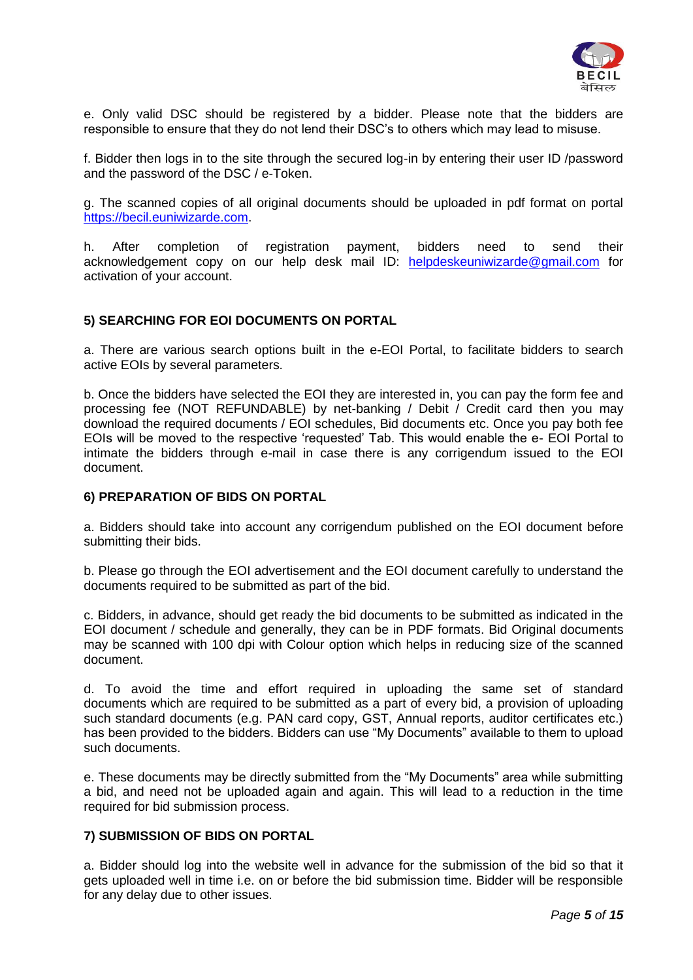

e. Only valid DSC should be registered by a bidder. Please note that the bidders are responsible to ensure that they do not lend their DSC"s to others which may lead to misuse.

f. Bidder then logs in to the site through the secured log-in by entering their user ID /password and the password of the DSC / e-Token.

g. The scanned copies of all original documents should be uploaded in pdf format on portal [https://becil.euniwizarde.com.](https://becil.euniwizarde.com/)

h. After completion of registration payment, bidders need to send their acknowledgement copy on our help desk mail ID: [helpdeskeuniwizarde@gmail.com](mailto:helpdeskeuniwizarde@gmail.com) for activation of your account.

#### **5) SEARCHING FOR EOI DOCUMENTS ON PORTAL**

a. There are various search options built in the e-EOI Portal, to facilitate bidders to search active EOIs by several parameters.

b. Once the bidders have selected the EOI they are interested in, you can pay the form fee and processing fee (NOT REFUNDABLE) by net-banking / Debit / Credit card then you may download the required documents / EOI schedules, Bid documents etc. Once you pay both fee EOIs will be moved to the respective "requested" Tab. This would enable the e- EOI Portal to intimate the bidders through e-mail in case there is any corrigendum issued to the EOI document.

#### **6) PREPARATION OF BIDS ON PORTAL**

a. Bidders should take into account any corrigendum published on the EOI document before submitting their bids.

b. Please go through the EOI advertisement and the EOI document carefully to understand the documents required to be submitted as part of the bid.

c. Bidders, in advance, should get ready the bid documents to be submitted as indicated in the EOI document / schedule and generally, they can be in PDF formats. Bid Original documents may be scanned with 100 dpi with Colour option which helps in reducing size of the scanned document.

d. To avoid the time and effort required in uploading the same set of standard documents which are required to be submitted as a part of every bid, a provision of uploading such standard documents (e.g. PAN card copy, GST, Annual reports, auditor certificates etc.) has been provided to the bidders. Bidders can use "My Documents" available to them to upload such documents.

e. These documents may be directly submitted from the "My Documents" area while submitting a bid, and need not be uploaded again and again. This will lead to a reduction in the time required for bid submission process.

#### **7) SUBMISSION OF BIDS ON PORTAL**

a. Bidder should log into the website well in advance for the submission of the bid so that it gets uploaded well in time i.e. on or before the bid submission time. Bidder will be responsible for any delay due to other issues.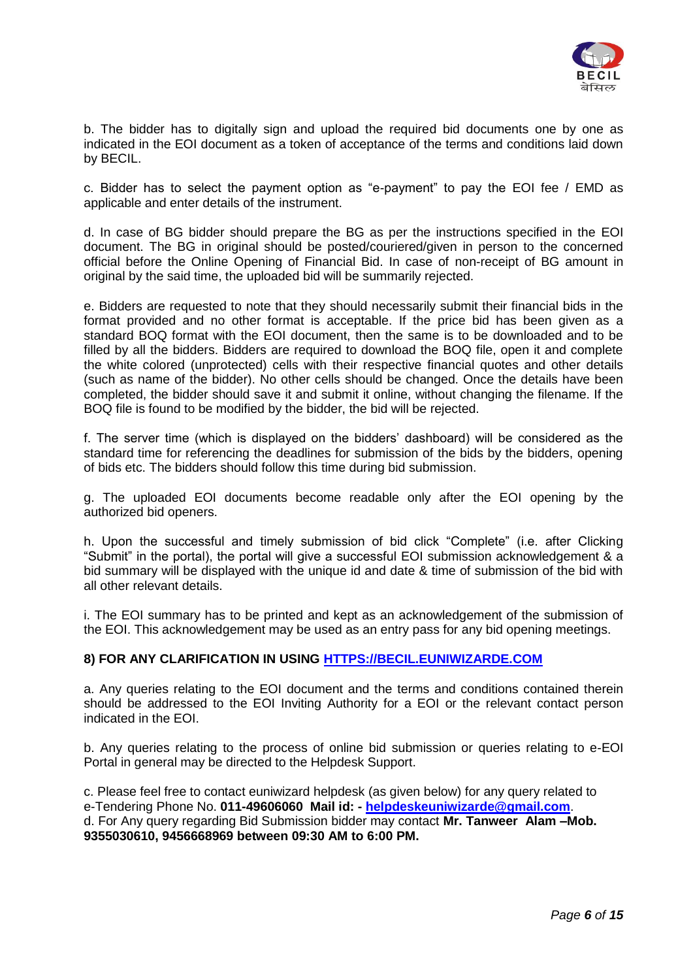

b. The bidder has to digitally sign and upload the required bid documents one by one as indicated in the EOI document as a token of acceptance of the terms and conditions laid down by BECIL.

c. Bidder has to select the payment option as "e-payment" to pay the EOI fee / EMD as applicable and enter details of the instrument.

d. In case of BG bidder should prepare the BG as per the instructions specified in the EOI document. The BG in original should be posted/couriered/given in person to the concerned official before the Online Opening of Financial Bid. In case of non-receipt of BG amount in original by the said time, the uploaded bid will be summarily rejected.

e. Bidders are requested to note that they should necessarily submit their financial bids in the format provided and no other format is acceptable. If the price bid has been given as a standard BOQ format with the EOI document, then the same is to be downloaded and to be filled by all the bidders. Bidders are required to download the BOQ file, open it and complete the white colored (unprotected) cells with their respective financial quotes and other details (such as name of the bidder). No other cells should be changed. Once the details have been completed, the bidder should save it and submit it online, without changing the filename. If the BOQ file is found to be modified by the bidder, the bid will be rejected.

f. The server time (which is displayed on the bidders" dashboard) will be considered as the standard time for referencing the deadlines for submission of the bids by the bidders, opening of bids etc. The bidders should follow this time during bid submission.

g. The uploaded EOI documents become readable only after the EOI opening by the authorized bid openers.

h. Upon the successful and timely submission of bid click "Complete" (i.e. after Clicking "Submit" in the portal), the portal will give a successful EOI submission acknowledgement & a bid summary will be displayed with the unique id and date & time of submission of the bid with all other relevant details.

i. The EOI summary has to be printed and kept as an acknowledgement of the submission of the EOI. This acknowledgement may be used as an entry pass for any bid opening meetings.

#### **8) FOR ANY CLARIFICATION IN USING [HTTPS://BECIL.EUNIWIZARDE.COM](https://becil.euniwizarde.com/)**

a. Any queries relating to the EOI document and the terms and conditions contained therein should be addressed to the EOI Inviting Authority for a EOI or the relevant contact person indicated in the EOI.

b. Any queries relating to the process of online bid submission or queries relating to e-EOI Portal in general may be directed to the Helpdesk Support.

c. Please feel free to contact euniwizard helpdesk (as given below) for any query related to e-Tendering Phone No. **011-49606060 Mail id: - [helpdeskeuniwizarde@gmail.com](mailto:helpdeskeuniwizarde@gmail.com)**. d. For Any query regarding Bid Submission bidder may contact **Mr. Tanweer Alam –Mob. 9355030610, 9456668969 between 09:30 AM to 6:00 PM.**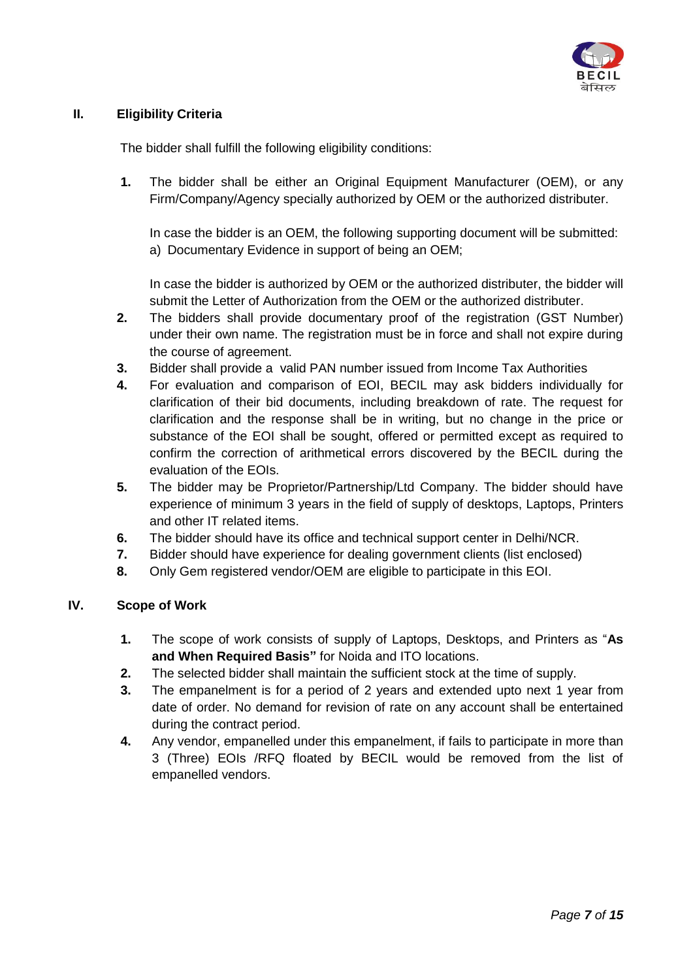

# **II. Eligibility Criteria**

The bidder shall fulfill the following eligibility conditions:

**1.** The bidder shall be either an Original Equipment Manufacturer (OEM), or any Firm/Company/Agency specially authorized by OEM or the authorized distributer.

In case the bidder is an OEM, the following supporting document will be submitted: a) Documentary Evidence in support of being an OEM;

In case the bidder is authorized by OEM or the authorized distributer, the bidder will submit the Letter of Authorization from the OEM or the authorized distributer.

- **2.** The bidders shall provide documentary proof of the registration (GST Number) under their own name. The registration must be in force and shall not expire during the course of agreement.
- **3.** Bidder shall provide a valid PAN number issued from Income Tax Authorities
- **4.** For evaluation and comparison of EOI, BECIL may ask bidders individually for clarification of their bid documents, including breakdown of rate. The request for clarification and the response shall be in writing, but no change in the price or substance of the EOI shall be sought, offered or permitted except as required to confirm the correction of arithmetical errors discovered by the BECIL during the evaluation of the EOIs.
- **5.** The bidder may be Proprietor/Partnership/Ltd Company. The bidder should have experience of minimum 3 years in the field of supply of desktops, Laptops, Printers and other IT related items.
- **6.** The bidder should have its office and technical support center in Delhi/NCR.
- **7.** Bidder should have experience for dealing government clients (list enclosed)
- **8.** Only Gem registered vendor/OEM are eligible to participate in this EOI.

## **IV. Scope of Work**

- **1.** The scope of work consists of supply of Laptops, Desktops, and Printers as "**As and When Required Basis"** for Noida and ITO locations.
- **2.** The selected bidder shall maintain the sufficient stock at the time of supply.
- **3.** The empanelment is for a period of 2 years and extended upto next 1 year from date of order. No demand for revision of rate on any account shall be entertained during the contract period.
- **4.** Any vendor, empanelled under this empanelment, if fails to participate in more than 3 (Three) EOIs /RFQ floated by BECIL would be removed from the list of empanelled vendors.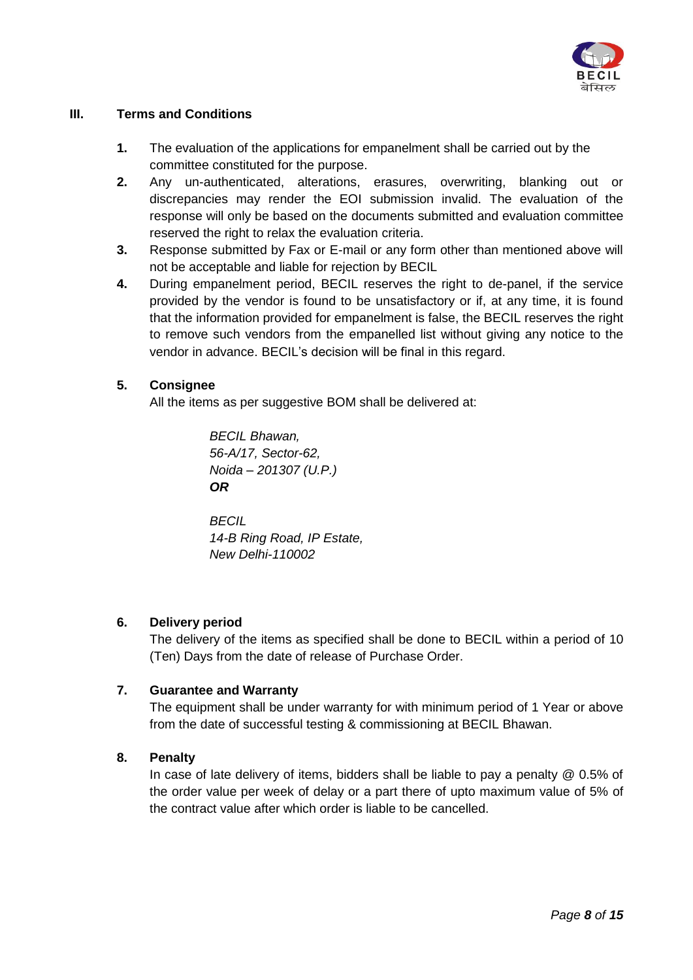

## **III. Terms and Conditions**

- **1.** The evaluation of the applications for empanelment shall be carried out by the committee constituted for the purpose.
- **2.** Any un-authenticated, alterations, erasures, overwriting, blanking out or discrepancies may render the EOI submission invalid. The evaluation of the response will only be based on the documents submitted and evaluation committee reserved the right to relax the evaluation criteria.
- **3.** Response submitted by Fax or E-mail or any form other than mentioned above will not be acceptable and liable for rejection by BECIL
- **4.** During empanelment period, BECIL reserves the right to de-panel, if the service provided by the vendor is found to be unsatisfactory or if, at any time, it is found that the information provided for empanelment is false, the BECIL reserves the right to remove such vendors from the empanelled list without giving any notice to the vendor in advance. BECIL"s decision will be final in this regard.

## **5. Consignee**

All the items as per suggestive BOM shall be delivered at:

*BECIL Bhawan, 56-A/17, Sector-62, Noida – 201307 (U.P.) OR*

*BECIL 14-B Ring Road, IP Estate, New Delhi-110002*

#### **6. Delivery period**

The delivery of the items as specified shall be done to BECIL within a period of 10 (Ten) Days from the date of release of Purchase Order.

#### **7. Guarantee and Warranty**

The equipment shall be under warranty for with minimum period of 1 Year or above from the date of successful testing & commissioning at BECIL Bhawan.

#### **8. Penalty**

In case of late delivery of items, bidders shall be liable to pay a penalty @ 0.5% of the order value per week of delay or a part there of upto maximum value of 5% of the contract value after which order is liable to be cancelled.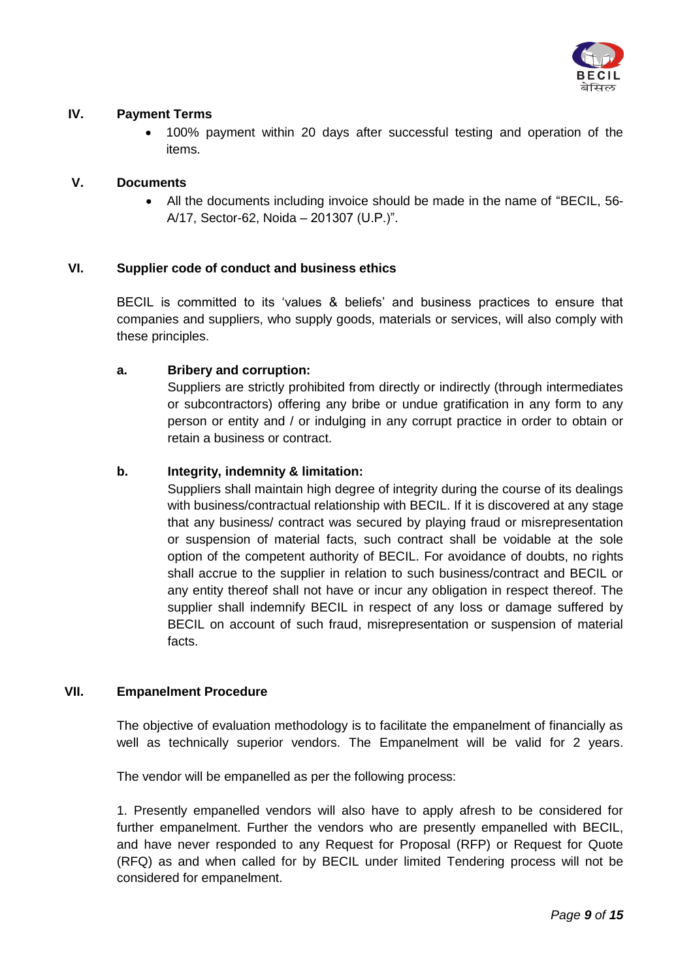

## **IV. Payment Terms**

 100% payment within 20 days after successful testing and operation of the items.

## **V. Documents**

 All the documents including invoice should be made in the name of "BECIL, 56- A/17, Sector-62, Noida – 201307 (U.P.)".

## **VI. Supplier code of conduct and business ethics**

BECIL is committed to its "values & beliefs" and business practices to ensure that companies and suppliers, who supply goods, materials or services, will also comply with these principles.

#### **a. Bribery and corruption:**

Suppliers are strictly prohibited from directly or indirectly (through intermediates or subcontractors) offering any bribe or undue gratification in any form to any person or entity and / or indulging in any corrupt practice in order to obtain or retain a business or contract.

#### **b. Integrity, indemnity & limitation:**

Suppliers shall maintain high degree of integrity during the course of its dealings with business/contractual relationship with BECIL. If it is discovered at any stage that any business/ contract was secured by playing fraud or misrepresentation or suspension of material facts, such contract shall be voidable at the sole option of the competent authority of BECIL. For avoidance of doubts, no rights shall accrue to the supplier in relation to such business/contract and BECIL or any entity thereof shall not have or incur any obligation in respect thereof. The supplier shall indemnify BECIL in respect of any loss or damage suffered by BECIL on account of such fraud, misrepresentation or suspension of material facts.

#### **VII. Empanelment Procedure**

The objective of evaluation methodology is to facilitate the empanelment of financially as well as technically superior vendors. The Empanelment will be valid for 2 years.

The vendor will be empanelled as per the following process:

1. Presently empanelled vendors will also have to apply afresh to be considered for further empanelment. Further the vendors who are presently empanelled with BECIL, and have never responded to any Request for Proposal (RFP) or Request for Quote (RFQ) as and when called for by BECIL under limited Tendering process will not be considered for empanelment.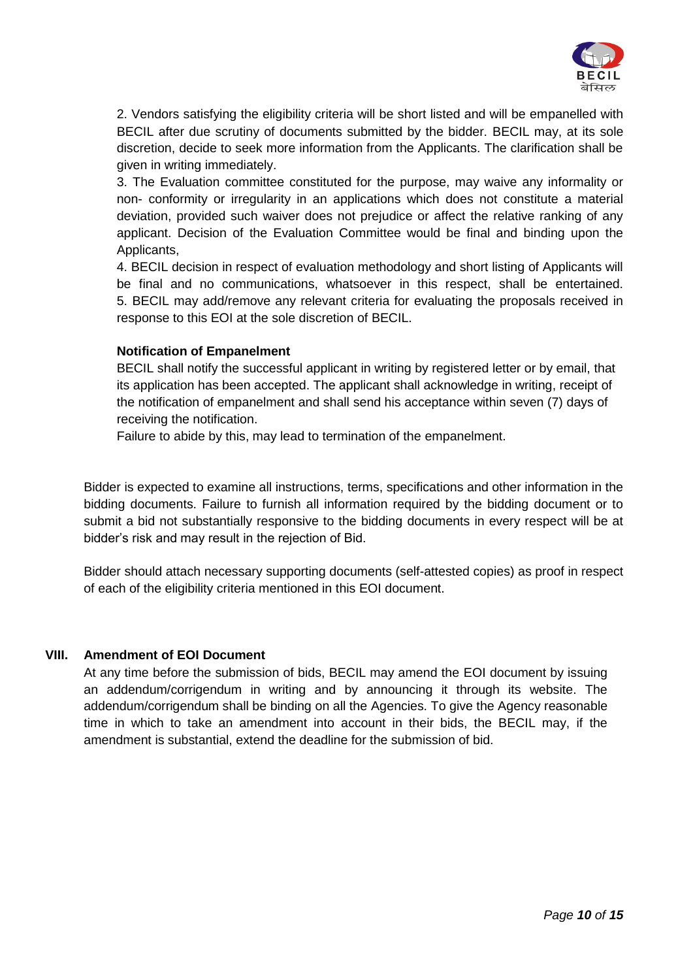

2. Vendors satisfying the eligibility criteria will be short listed and will be empanelled with BECIL after due scrutiny of documents submitted by the bidder. BECIL may, at its sole discretion, decide to seek more information from the Applicants. The clarification shall be given in writing immediately.

3. The Evaluation committee constituted for the purpose, may waive any informality or non- conformity or irregularity in an applications which does not constitute a material deviation, provided such waiver does not prejudice or affect the relative ranking of any applicant. Decision of the Evaluation Committee would be final and binding upon the Applicants,

4. BECIL decision in respect of evaluation methodology and short listing of Applicants will be final and no communications, whatsoever in this respect, shall be entertained. 5. BECIL may add/remove any relevant criteria for evaluating the proposals received in response to this EOI at the sole discretion of BECIL.

#### **Notification of Empanelment**

BECIL shall notify the successful applicant in writing by registered letter or by email, that its application has been accepted. The applicant shall acknowledge in writing, receipt of the notification of empanelment and shall send his acceptance within seven (7) days of receiving the notification.

Failure to abide by this, may lead to termination of the empanelment.

Bidder is expected to examine all instructions, terms, specifications and other information in the bidding documents. Failure to furnish all information required by the bidding document or to submit a bid not substantially responsive to the bidding documents in every respect will be at bidder"s risk and may result in the rejection of Bid.

Bidder should attach necessary supporting documents (self-attested copies) as proof in respect of each of the eligibility criteria mentioned in this EOI document.

#### **VIII. Amendment of EOI Document**

At any time before the submission of bids, BECIL may amend the EOI document by issuing an addendum/corrigendum in writing and by announcing it through its website. The addendum/corrigendum shall be binding on all the Agencies. To give the Agency reasonable time in which to take an amendment into account in their bids, the BECIL may, if the amendment is substantial, extend the deadline for the submission of bid.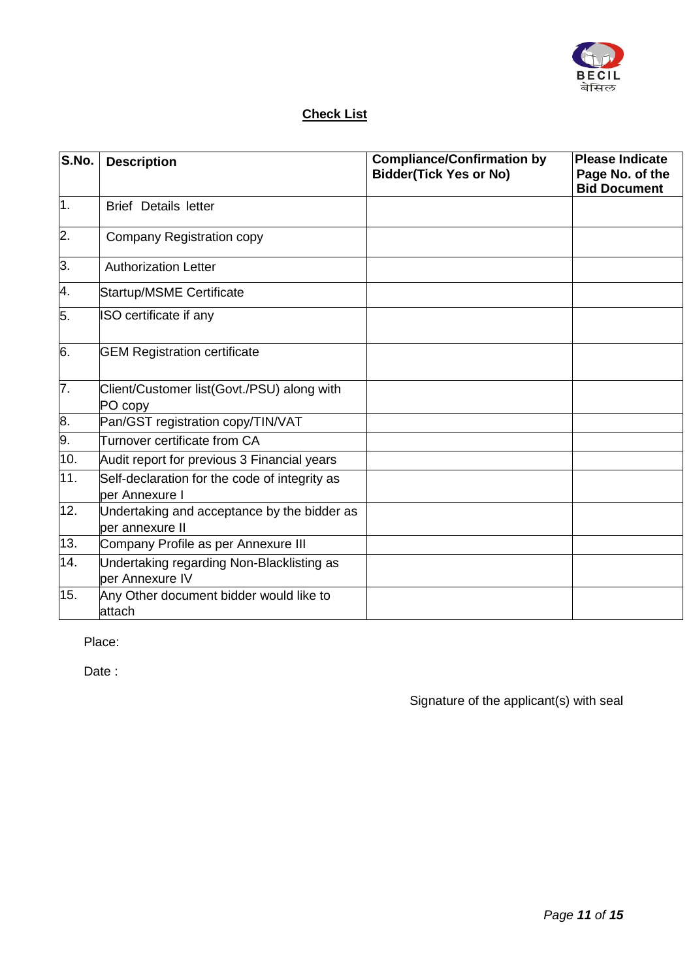

# **Check List**

| S.No.            | <b>Description</b>                                              | <b>Compliance/Confirmation by</b><br><b>Bidder(Tick Yes or No)</b> | <b>Please Indicate</b><br>Page No. of the<br><b>Bid Document</b> |
|------------------|-----------------------------------------------------------------|--------------------------------------------------------------------|------------------------------------------------------------------|
| $\overline{1}$ . | <b>Brief Details letter</b>                                     |                                                                    |                                                                  |
| 2.               | Company Registration copy                                       |                                                                    |                                                                  |
| 3.               | <b>Authorization Letter</b>                                     |                                                                    |                                                                  |
| 4.               | <b>Startup/MSME Certificate</b>                                 |                                                                    |                                                                  |
| 5.               | ISO certificate if any                                          |                                                                    |                                                                  |
| 6.               | <b>GEM Registration certificate</b>                             |                                                                    |                                                                  |
| $\overline{7}$ . | Client/Customer list(Govt./PSU) along with<br>PO copy           |                                                                    |                                                                  |
| 8.               | Pan/GST registration copy/TIN/VAT                               |                                                                    |                                                                  |
| 9.               | Turnover certificate from CA                                    |                                                                    |                                                                  |
| 10.              | Audit report for previous 3 Financial years                     |                                                                    |                                                                  |
| 11.              | Self-declaration for the code of integrity as<br>per Annexure I |                                                                    |                                                                  |
| 12.              | Undertaking and acceptance by the bidder as<br>per annexure II  |                                                                    |                                                                  |
| 13.              | Company Profile as per Annexure III                             |                                                                    |                                                                  |
| 14.              | Undertaking regarding Non-Blacklisting as<br>per Annexure IV    |                                                                    |                                                                  |
| 15.              | Any Other document bidder would like to<br>attach               |                                                                    |                                                                  |

Place:

Date :

Signature of the applicant(s) with seal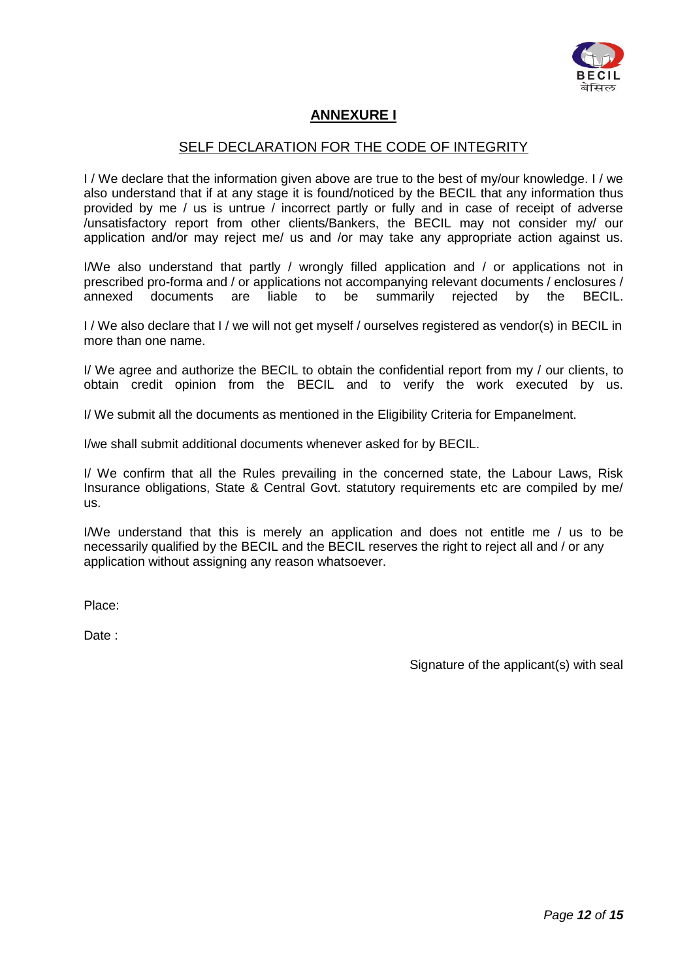

# **ANNEXURE I**

## SELF DECLARATION FOR THE CODE OF INTEGRITY

I / We declare that the information given above are true to the best of my/our knowledge. I / we also understand that if at any stage it is found/noticed by the BECIL that any information thus provided by me / us is untrue / incorrect partly or fully and in case of receipt of adverse /unsatisfactory report from other clients/Bankers, the BECIL may not consider my/ our application and/or may reject me/ us and /or may take any appropriate action against us.

I/We also understand that partly / wrongly filled application and / or applications not in prescribed pro-forma and / or applications not accompanying relevant documents / enclosures / annexed documents are liable to be summarily rejected by the BECIL.

I / We also declare that I / we will not get myself / ourselves registered as vendor(s) in BECIL in more than one name.

I/ We agree and authorize the BECIL to obtain the confidential report from my / our clients, to obtain credit opinion from the BECIL and to verify the work executed by us.

I/ We submit all the documents as mentioned in the Eligibility Criteria for Empanelment.

I/we shall submit additional documents whenever asked for by BECIL.

I/ We confirm that all the Rules prevailing in the concerned state, the Labour Laws, Risk Insurance obligations, State & Central Govt. statutory requirements etc are compiled by me/ us.

I/We understand that this is merely an application and does not entitle me / us to be necessarily qualified by the BECIL and the BECIL reserves the right to reject all and / or any application without assigning any reason whatsoever.

Place:

Date :

Signature of the applicant(s) with seal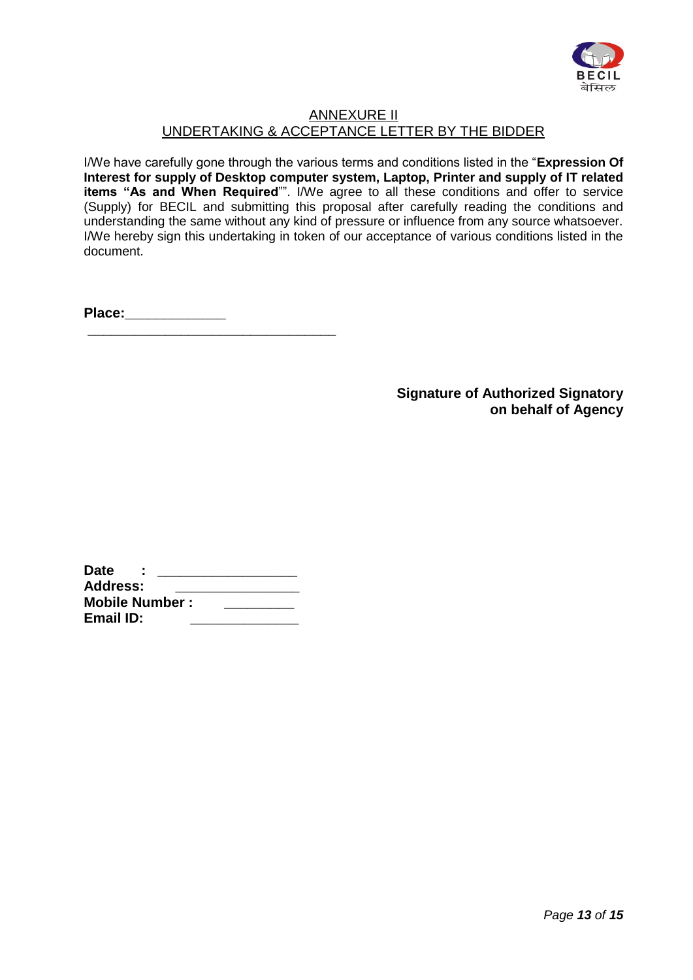

# ANNEXURE II UNDERTAKING & ACCEPTANCE LETTER BY THE BIDDER

I/We have carefully gone through the various terms and conditions listed in the "**Expression Of Interest for supply of Desktop computer system, Laptop, Printer and supply of IT related items "As and When Required**"". I/We agree to all these conditions and offer to service (Supply) for BECIL and submitting this proposal after carefully reading the conditions and understanding the same without any kind of pressure or influence from any source whatsoever. I/We hereby sign this undertaking in token of our acceptance of various conditions listed in the document.

**Place:\_\_\_\_\_\_\_\_\_\_\_\_\_ \_\_\_\_\_\_\_\_\_\_\_\_\_\_\_\_\_\_\_\_\_\_\_\_\_\_\_\_\_\_\_\_** 

> **Signature of Authorized Signatory on behalf of Agency**

| <b>Date</b>           |  |
|-----------------------|--|
| <b>Address:</b>       |  |
| <b>Mobile Number:</b> |  |
| Email ID:             |  |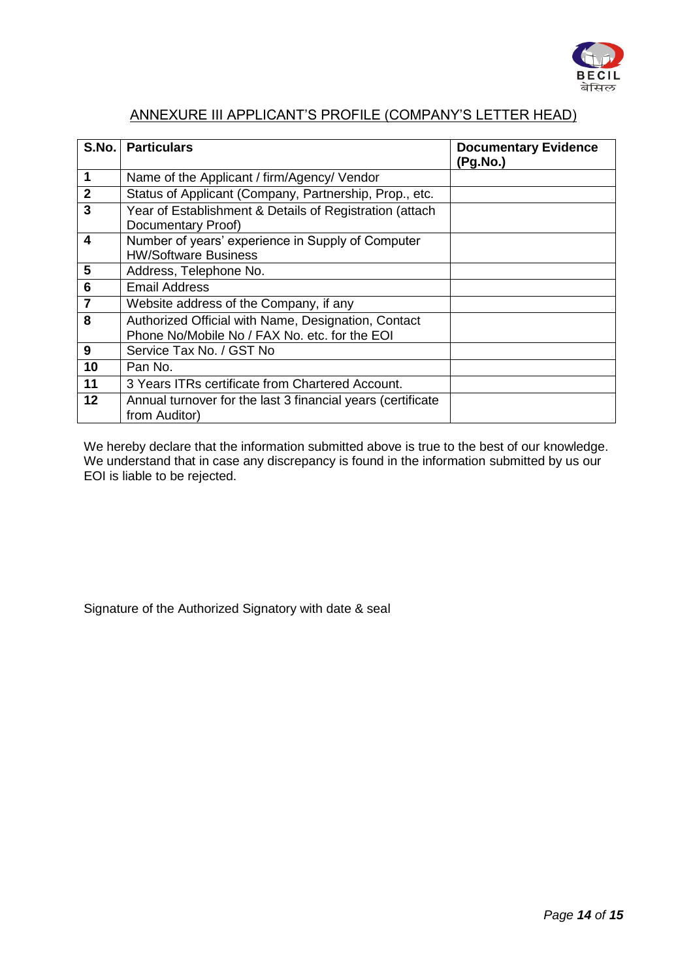

# ANNEXURE III APPLICANT"S PROFILE (COMPANY"S LETTER HEAD)

| S.No.                   | <b>Particulars</b>                                                               | <b>Documentary Evidence</b><br>(Pg.No.) |
|-------------------------|----------------------------------------------------------------------------------|-----------------------------------------|
| 1                       | Name of the Applicant / firm/Agency/ Vendor                                      |                                         |
| $\overline{2}$          | Status of Applicant (Company, Partnership, Prop., etc.                           |                                         |
| 3                       | Year of Establishment & Details of Registration (attach<br>Documentary Proof)    |                                         |
| 4                       | Number of years' experience in Supply of Computer<br><b>HW/Software Business</b> |                                         |
| 5                       | Address, Telephone No.                                                           |                                         |
| 6                       | <b>Email Address</b>                                                             |                                         |
| $\overline{\mathbf{r}}$ | Website address of the Company, if any                                           |                                         |
| 8                       | Authorized Official with Name, Designation, Contact                              |                                         |
|                         | Phone No/Mobile No / FAX No. etc. for the EOI                                    |                                         |
| 9                       | Service Tax No. / GST No                                                         |                                         |
| 10                      | Pan No.                                                                          |                                         |
| 11                      | 3 Years ITRs certificate from Chartered Account.                                 |                                         |
| 12                      | Annual turnover for the last 3 financial years (certificate<br>from Auditor)     |                                         |

We hereby declare that the information submitted above is true to the best of our knowledge. We understand that in case any discrepancy is found in the information submitted by us our EOI is liable to be rejected.

Signature of the Authorized Signatory with date & seal